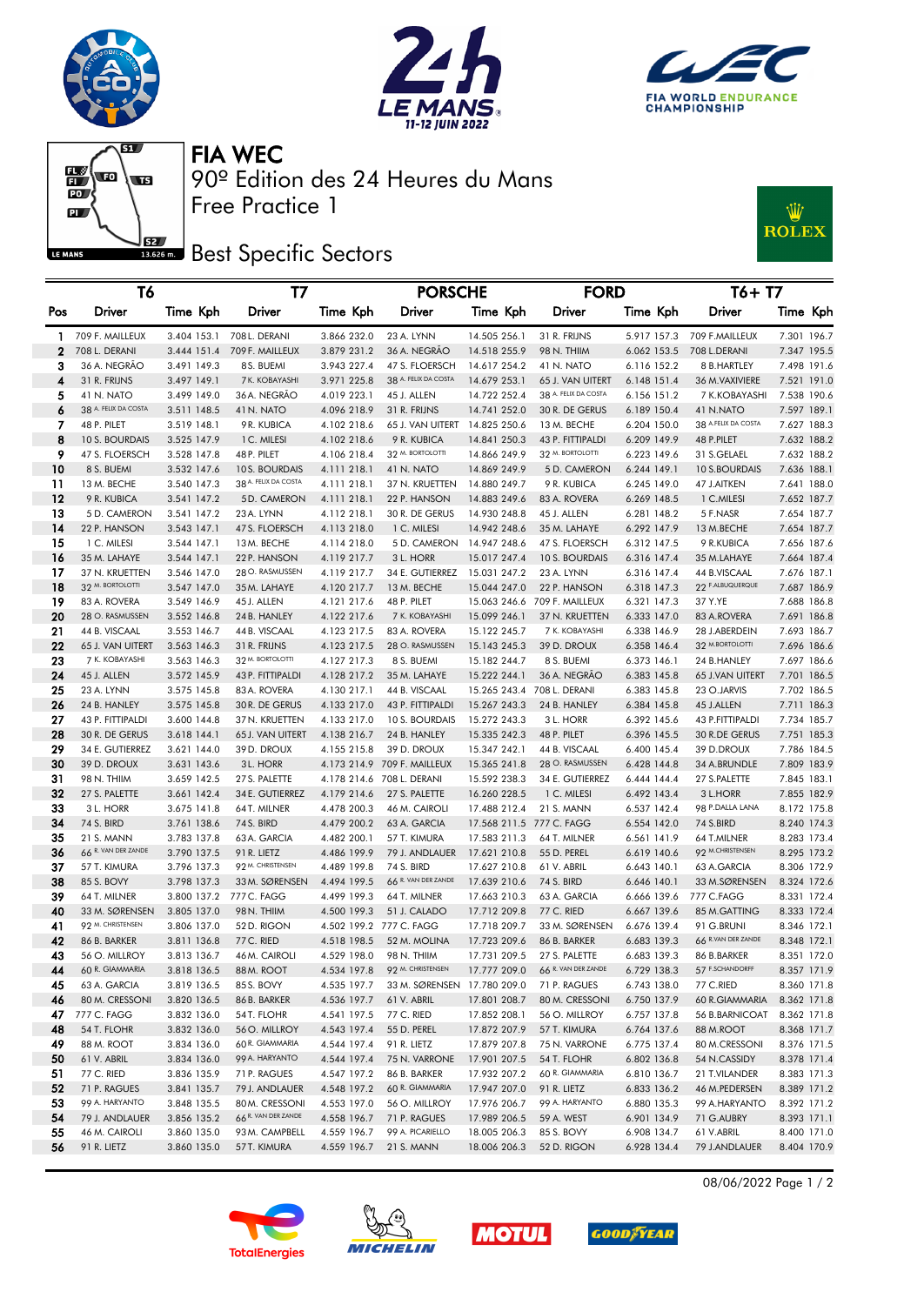







90º Edition des 24 Heures du Mans FIA WEC

**Best Specific Sectors** 

Free Practice 1



|              | T6                                 |                            | T7                               |                            | <b>PORSCHE</b>                                       |                              | <b>FORD</b>                      |                            | T6+T7                            |                            |  |
|--------------|------------------------------------|----------------------------|----------------------------------|----------------------------|------------------------------------------------------|------------------------------|----------------------------------|----------------------------|----------------------------------|----------------------------|--|
| Pos          | Driver                             | Time Kph                   | Driver                           | Time Kph                   | Driver                                               | Time Kph                     | Driver                           | Time Kph                   | Driver                           | Time Kph                   |  |
| $\mathbf{1}$ | 709 F. MAILLEUX                    | 3.404 153.1                | 708 L. DERANI                    | 3.866 232.0                | 23 A. LYNN                                           | 14.505 256.1                 | 31 R. FRIJNS                     | 5.917 157.3                | 709 F.MAILLEUX                   | 7.301 196.7                |  |
| $\mathbf{2}$ | 708 L. DERANI                      | 3.444 151.4                | 709 F. MAILLEUX                  | 3.879 231.2                | 36 A. NEGRÃO                                         | 14.518 255.9                 | 98 N. THIIM                      | 6.062 153.5                | 708 L.DERANI                     | 7.347 195.5                |  |
| з            | 36 A. NEGRÃO                       | 3.491 149.3                | 8 S. BUEMI                       | 3.943 227.4                | 47 S. FLOERSCH                                       | 14.617 254.2                 | 41 N. NATO                       | 6.116 152.2                | 8 B.HARTLEY                      | 7.498 191.6                |  |
| 4            | 31 R. FRIJNS                       | 3.497 149.1                | 7 K. KOBAYASHI                   | 3.971 225.8                | 38 A. FELIX DA COSTA                                 | 14.679 253.1                 | 65 J. VAN UITERT                 | 6.148 151.4                | 36 M.VAXIVIERE                   | 7.521 191.0                |  |
| 5            | 41 N. NATO                         | 3.499 149.0                | 36 A. NEGRÃO                     | 4.019 223.1                | 45 J. ALLEN                                          | 14.722 252.4                 | 38 A. FELIX DA COSTA             | 6.156 151.2                | 7 K.KOBAYASHI                    | 7.538 190.6                |  |
| 6            | 38 A. FELIX DA COSTA               | 3.511 148.5                | 41 N. NATO                       | 4.096 218.9                | 31 R. FRIJNS                                         | 14.741 252.0                 | 30 R. DE GERUS                   | 6.189 150.4                | 41 N.NATO                        | 7.597 189.1                |  |
| 7            | 48 P. PILET                        | 3.519 148.1                | 9 R. KUBICA                      | 4.102 218.6                | 65 J. VAN UITERT                                     | 14.825 250.6                 | 13 M. BECHE                      | 6.204 150.0                | 38 A.FELIX DA COSTA              | 7.627 188.3                |  |
| 8            | 10 S. BOURDAIS                     | 3.525 147.9                | 1 C. MILESI                      | 4.102 218.6                | 9 R. KUBICA                                          | 14.841 250.3                 | 43 P. FITTIPALDI                 | 6.209 149.9                | 48 P.PILET                       | 7.632 188.2                |  |
| 9            | 47 S. FLOERSCH                     | 3.528 147.8                | 48 P. PILET                      | 4.106 218.4                | 32 M. BORTOLOTTI                                     | 14.866 249.9                 | 32 M. BORTOLOTTI                 | 6.223 149.6                | 31 S.GELAEL                      | 7.632 188.2                |  |
| 10           | 8 S. BUEMI                         | 3.532 147.6                | 10S. BOURDAIS                    | 4.111 218.1                | 41 N. NATO                                           | 14.869 249.9                 | 5 D. CAMERON                     | 6.244 149.1                | 10 S.BOURDAIS                    | 7.636 188.1                |  |
| 11           | 13 M. BECHE                        | 3.540 147.3                | 38 A. FELIX DA COSTA             | 4.111 218.1                | 37 N. KRUETTEN                                       | 14.880 249.7                 | 9 R. KUBICA                      | 6.245 149.0                | 47 J.AITKEN                      | 7.641 188.0                |  |
| 12           | 9 R. KUBICA                        | 3.541 147.2                | 5D. CAMERON                      | 4.111 218.1                | 22 P. HANSON                                         | 14.883 249.6                 | 83 A. ROVERA                     | 6.269 148.5                | 1 C.MILESI                       | 7.652 187.7                |  |
| 13           | 5 D. CAMERON                       | 3.541 147.2                | 23 A. LYNN                       | 4.112 218.1                | 30 R. DE GERUS                                       | 14.930 248.8                 | 45 J. ALLEN                      | 6.281 148.2                | 5 F.NASR                         | 7.654 187.7                |  |
| 14           | 22 P. HANSON                       | 3.543 147.1                | 47 S. FLOERSCH                   | 4.113 218.0                | 1 C. MILESI                                          | 14.942 248.6                 | 35 M. LAHAYE                     | 6.292 147.9                | 13 M.BECHE                       | 7.654 187.7                |  |
| 15           | 1 C. MILESI                        | 3.544 147.1                | 13M. BECHE                       | 4.114 218.0                | 5 D. CAMERON                                         | 14.947 248.6                 | 47 S. FLOERSCH                   | 6.312 147.5                | 9 R.KUBICA                       | 7.656 187.6                |  |
| 16           | 35 M. LAHAYE                       | 3.544 147.1                | 22 P. HANSON                     | 4.119 217.7                | 3 L. HORR                                            | 15.017 247.4                 | 10 S. BOURDAIS                   | 6.316 147.4                | 35 M.LAHAYE                      | 7.664 187.4                |  |
| 17           | 37 N. KRUETTEN                     | 3.546 147.0                | 28 O. RASMUSSEN                  | 4.119 217.7                | 34 E. GUTIERREZ                                      | 15.031 247.2                 | 23 A. LYNN                       | 6.316 147.4                | 44 B.VISCAAL                     | 7.676 187.1                |  |
| 18           | 32 M. BORTOLOTTI                   | 3.547 147.0                | 35 M. LAHAYE                     | 4.120 217.7                | 13 M. BECHE                                          | 15.044 247.0                 | 22 P. HANSON                     | 6.318 147.3                | 22 F.ALBUQUERQUE                 | 7.687 186.9                |  |
| 19           | 83 A. ROVERA                       | 3.549 146.9                | 45 J. ALLEN                      | 4.121 217.6                | 48 P. PILET                                          |                              | 15.063 246.6 709 F. MAILLEUX     | 6.321 147.3                | 37 Y.YE                          | 7.688 186.8                |  |
| 20           | 28 O. RASMUSSEN                    | 3.552 146.8                | 24 B. HANLEY                     | 4.122 217.6                | 7 K. KOBAYASHI                                       | 15.099 246.1                 | 37 N. KRUETTEN                   | 6.333 147.0                | 83 A.ROVERA                      | 7.691 186.8                |  |
| 21           | 44 B. VISCAAL                      | 3.553 146.7                | 44 B. VISCAAL                    | 4.123 217.5                | 83 A. ROVERA                                         | 15.122 245.7                 | 7 K. KOBAYASHI                   | 6.338 146.9                | 28 J.ABERDEIN<br>32 M.BORTOLOTTI | 7.693 186.7                |  |
| 22           | 65 J. VAN UITERT<br>7 K. KOBAYASHI | 3.563 146.3                | 31 R. FRIJNS<br>32 M. BORTOLOTTI | 4.123 217.5                | 28 O. RASMUSSEN                                      | 15.143 245.3                 | 39 D. DROUX                      | 6.358 146.4                |                                  | 7.696 186.6                |  |
| 23<br>24     | 45 J. ALLEN                        | 3.563 146.3<br>3.572 145.9 | 43 P. FITTIPALDI                 | 4.127 217.3<br>4.128 217.2 | 8 S. BUEMI<br>35 M. LAHAYE                           | 15.182 244.7<br>15.222 244.1 | 8 S. BUEMI<br>36 A. NEGRAO       | 6.373 146.1<br>6.383 145.8 | 24 B.HANLEY<br>65 J.VAN UITERT   | 7.697 186.6<br>7.701 186.5 |  |
| 25           | 23 A. LYNN                         | 3.575 145.8                | 83 A. ROVERA                     | 4.130 217.1                | 44 B. VISCAAL                                        |                              | 15.265 243.4 708 L. DERANI       | 6.383 145.8                | 23 O.JARVIS                      | 7.702 186.5                |  |
| 26           | 24 B. HANLEY                       | 3.575 145.8                | 30 R. DE GERUS                   | 4.133 217.0                | 43 P. FITTIPALDI                                     | 15.267 243.3                 | 24 B. HANLEY                     | 6.384 145.8                | 45 J.ALLEN                       | 7.711 186.3                |  |
| 27           | 43 P. FITTIPALDI                   | 3.600 144.8                | 37 N. KRUETTEN                   | 4.133 217.0                | 10 S. BOURDAIS                                       | 15.272 243.3                 | 3 L. HORR                        | 6.392 145.6                | 43 P.FITTIPALDI                  | 7.734 185.7                |  |
| 28           | 30 R. DE GERUS                     | 3.618 144.1                | 65 J. VAN UITERT                 | 4.138 216.7                | 24 B. HANLEY                                         | 15.335 242.3                 | 48 P. PILET                      | 6.396 145.5                | 30 R.DE GERUS                    | 7.751 185.3                |  |
| 29           | 34 E. GUTIERREZ                    | 3.621 144.0                | 39 D. DROUX                      | 4.155 215.8                | 39 D. DROUX                                          | 15.347 242.1                 | 44 B. VISCAAL                    | 6.400 145.4                | 39 D.DROUX                       | 7.786 184.5                |  |
| 30           | 39 D. DROUX                        | 3.631 143.6                | 3L. HORR                         |                            | 4.173 214.9 709 F. MAILLEUX                          | 15.365 241.8                 | 28 O. RASMUSSEN                  | 6.428 144.8                | 34 A.BRUNDLE                     | 7.809 183.9                |  |
| 31           | 98 N. THIIM                        | 3.659 142.5                | 27 S. PALETTE                    |                            | 4.178 214.6 708 L. DERANI                            | 15.592 238.3                 | 34 E. GUTIERREZ                  | 6.444 144.4                | 27 S.PALETTE                     | 7.845 183.1                |  |
| 32           | 27 S. PALETTE                      | 3.661 142.4                | 34 E. GUTIERREZ                  | 4.179 214.6                | 27 S. PALETTE                                        | 16.260 228.5                 | 1 C. MILESI                      | 6.492 143.4                | 3 L.HORR                         | 7.855 182.9                |  |
| 33           | 3 L. HORR                          | 3.675 141.8                | 64 T. MILNER                     | 4.478 200.3                | 46 M. CAIROLI                                        | 17.488 212.4                 | 21 S. MANN                       | 6.537 142.4                | 98 P.DALLA LANA                  | 8.172 175.8                |  |
| 34           | 74 S. BIRD                         | 3.761 138.6                | 74 S. BIRD                       | 4.479 200.2                | 63 A. GARCIA                                         | 17.568 211.5 777 C. FAGG     |                                  | 6.554 142.0                | 74 S.BIRD                        | 8.240 174.3                |  |
| 35           | 21 S. MANN                         | 3.783 137.8                | 63 A. GARCIA                     | 4.482 200.1                | 57 T. KIMURA                                         | 17.583 211.3                 | 64 T. MILNER                     | 6.561 141.9                | 64 T.MILNER                      | 8.283 173.4                |  |
| 36           | 66 R. VAN DER ZANDE                | 3.790 137.5                | 91 R. LIETZ                      | 4.486 199.9                | 79 J. ANDLAUER                                       | 17.621 210.8                 | 55 D. PEREL                      | 6.619 140.6                | 92 M.CHRISTENSEN                 | 8.295 173.2                |  |
| 37           | 57 T. KIMURA                       | 3.796 137.3                | 92 M. CHRISTENSEN                | 4.489 199.8                | 74 S. BIRD                                           | 17.627 210.8                 | 61 V. ABRIL                      | 6.643 140.1                | 63 A.GARCIA                      | 8.306 172.9                |  |
| 38           | 85 S. BOVY                         | 3.798 137.3                | 33 M. SØRENSEN                   | 4.494 199.5                | 66 R. VAN DER ZANDE                                  | 17.639 210.6                 | 74 S. BIRD                       | 6.646 140.1                | 33 M.SØRENSEN                    | 8.324 172.6                |  |
| 39           | 64 T. MILNER                       | 3.800 137.2                | 777 C. FAGG                      | 4.499 199.3                | 64 T. MILNER                                         | 17.663 210.3                 | 63 A. GARCIA                     | 6.666 139.6                | 777 C.FAGG                       | 8.331 172.4                |  |
| 40           | 33 M. SØRENSEN                     | 3.805 137.0                | 98N. THIIM                       | 4.500 199.3                | 51 J. CALADO                                         | 17.712 209.8                 | 77 C. RIED                       | 6.667 139.6                | 85 M.GATTING                     | 8.333 172.4                |  |
| 41           | 92 M. CHRISTENSEN                  | 3.806 137.0                | 52 D. RIGON                      |                            | 4.502 199.2 777 C. FAGG                              | 17.718 209.7                 | 33 M. SØRENSEN                   | 6.676 139.4                | 91 G.BRUNI                       | 8.346 172.1                |  |
| 42           | 86 B. BARKER                       | 3.811 136.8                | 77 C. RIED                       | 4.518 198.5                | 52 M. MOLINA                                         | 17.723 209.6                 | 86 B. BARKER                     | 6.683 139.3                | 66 R.VAN DER ZANDE               | 8.348 172.1                |  |
| 43           | 56 O. MILLROY                      | 3.813 136.7                | 46 M. CAIROLI                    | 4.529 198.0                | 98 N. THIIM                                          | 17.731 209.5                 | 27 S. PALETTE                    | 6.683 139.3                | 86 B.BARKER                      | 8.351 172.0                |  |
| 44           | 60 R. GIAMMARIA                    | 3.818 136.5                | 88 M. ROOT                       | 4.534 197.8                | 92 M. CHRISTENSEN                                    |                              | 17.777 209.0 66 R. VAN DER ZANDE | 6.729 138.3                | 57 F.SCHANDORFF                  | 8.357 171.9                |  |
| 45           | 63 A. GARCIA                       | 3.819 136.5                | 85 S. BOVY                       |                            | 4.535 197.7 33 M. SØRENSEN 17.780 209.0 71 P. RAGUES |                              |                                  | 6.743 138.0                | 77 C.RIED                        | 8.360 171.8                |  |
| 46           | 80 M. CRESSONI                     | 3.820 136.5                | 86 B. BARKER                     | 4.536 197.7                | 61 V. ABRIL                                          | 17.801 208.7                 | 80 M. CRESSONI                   | 6.750 137.9                | 60 R.GIAMMARIA                   | 8.362 171.8                |  |
| 47           | 777 C. FAGG                        | 3.832 136.0                | 54T. FLOHR                       | 4.541 197.5                | 77 C. RIED                                           | 17.852 208.1                 | 56 O. MILLROY                    | 6.757 137.8                | 56 B.BARNICOAT                   | 8.362 171.8                |  |
| 48           | 54 T. FLOHR                        | 3.832 136.0                | 56 O. MILLROY                    | 4.543 197.4                | 55 D. PEREL                                          | 17.872 207.9                 | 57 T. KIMURA                     | 6.764 137.6                | 88 M.ROOT                        | 8.368 171.7                |  |
| 49           | 88 M. ROOT                         | 3.834 136.0                | 60 R. GIAMMARIA                  | 4.544 197.4                | 91 R. LIETZ                                          | 17.879 207.8                 | 75 N. VARRONE                    | 6.775 137.4                | 80 M.CRESSONI                    | 8.376 171.5                |  |
| 50           | 61 V. ABRIL                        | 3.834 136.0                | 99 A. HARYANTO                   | 4.544 197.4                | 75 N. VARRONE                                        | 17.901 207.5                 | 54 T. FLOHR                      | 6.802 136.8                | 54 N.CASSIDY                     | 8.378 171.4                |  |
| 51           | 77 C. RIED                         | 3.836 135.9                | 71 P. RAGUES                     | 4.547 197.2                | 86 B. BARKER                                         | 17.932 207.2                 | 60 R. GIAMMARIA                  | 6.810 136.7                | 21 T.VILANDER                    | 8.383 171.3                |  |
| 52           | 71 P. RAGUES                       | 3.841 135.7                | 79 J. ANDLAUER                   | 4.548 197.2                | 60 R. GIAMMARIA                                      | 17.947 207.0                 | 91 R. LIETZ                      | 6.833 136.2                | 46 M.PEDERSEN                    | 8.389 171.2                |  |
| 53           | 99 A. HARYANTO                     | 3.848 135.5                | 80 M. CRESSONI                   | 4.553 197.0                | 56 O. MILLROY                                        | 17.976 206.7                 | 99 A. HARYANTO                   | 6.880 135.3                | 99 A.HARYANTO                    | 8.392 171.2                |  |
| 54           | 79 J. ANDLAUER                     | 3.856 135.2                | 66 R. VAN DER ZANDE              | 4.558 196.7                | 71 P. RAGUES                                         | 17.989 206.5                 | 59 A. WEST                       | 6.901 134.9                | 71 G.AUBRY                       | 8.393 171.1                |  |
| 55           | 46 M. CAIROLI                      | 3.860 135.0                | 93 M. CAMPBELL                   | 4.559 196.7                | 99 A. PICARIELLO                                     | 18.005 206.3                 | 85 S. BOVY                       | 6.908 134.7                | 61 V.ABRIL                       | 8.400 171.0                |  |
| 56           | 91 R. LIETZ                        | 3.860 135.0                | 57 T. KIMURA                     | 4.559 196.7                | 21 S. MANN                                           | 18.006 206.3                 | 52 D. RIGON                      | 6.928 134.4                | 79 J.ANDLAUER                    | 8.404 170.9                |  |







**GOOD**FYEAR